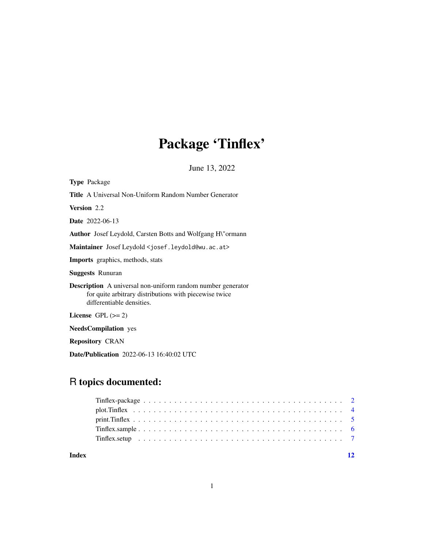# Package 'Tinflex'

June 13, 2022

<span id="page-0-0"></span>

| <b>Type</b> Package                                                                                                                                       |
|-----------------------------------------------------------------------------------------------------------------------------------------------------------|
| <b>Title</b> A Universal Non-Uniform Random Number Generator                                                                                              |
| Version 2.2                                                                                                                                               |
| <b>Date</b> 2022-06-13                                                                                                                                    |
| <b>Author</b> Josef Leydold, Carsten Botts and Wolfgang H\"ormann                                                                                         |
| Maintainer Josef Leydold < josef.leydold@wu.ac.at>                                                                                                        |
| <b>Imports</b> graphics, methods, stats                                                                                                                   |
| <b>Suggests Runuran</b>                                                                                                                                   |
| <b>Description</b> A universal non-uniform random number generator<br>for quite arbitrary distributions with piecewise twice<br>differentiable densities. |
| License $GPL (= 2)$                                                                                                                                       |
| <b>NeedsCompilation</b> yes                                                                                                                               |
| <b>Repository CRAN</b>                                                                                                                                    |

Date/Publication 2022-06-13 16:40:02 UTC

# R topics documented:

**Index** [12](#page-11-0)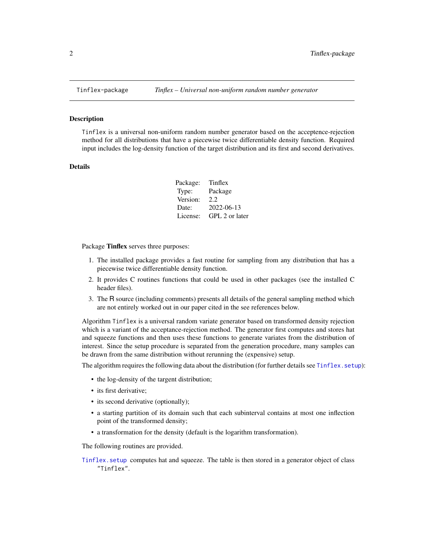<span id="page-1-0"></span>

#### Description

Tinflex is a universal non-uniform random number generator based on the acceptence-rejection method for all distributions that have a piecewise twice differentiable density function. Required input includes the log-density function of the target distribution and its first and second derivatives.

#### Details

| Package: | Tinflex        |
|----------|----------------|
| Type:    | Package        |
| Version: | 2.2.           |
| Date:    | 2022-06-13     |
| License: | GPL 2 or later |

Package Tinflex serves three purposes:

- 1. The installed package provides a fast routine for sampling from any distribution that has a piecewise twice differentiable density function.
- 2. It provides C routines functions that could be used in other packages (see the installed C header files).
- 3. The R source (including comments) presents all details of the general sampling method which are not entirely worked out in our paper cited in the see references below.

Algorithm Tinflex is a universal random variate generator based on transformed density rejection which is a variant of the acceptance-rejection method. The generator first computes and stores hat and squeeze functions and then uses these functions to generate variates from the distribution of interest. Since the setup procedure is separated from the generation procedure, many samples can be drawn from the same distribution without rerunning the (expensive) setup.

The algorithm requires the following data about the distribution (for further details see [Tinflex.setup](#page-6-1)):

- the log-density of the targent distribution;
- its first derivative;
- its second derivative (optionally);
- a starting partition of its domain such that each subinterval contains at most one inflection point of the transformed density;
- a transformation for the density (default is the logarithm transformation).

The following routines are provided.

[Tinflex.setup](#page-6-1) computes hat and squeeze. The table is then stored in a generator object of class "Tinflex".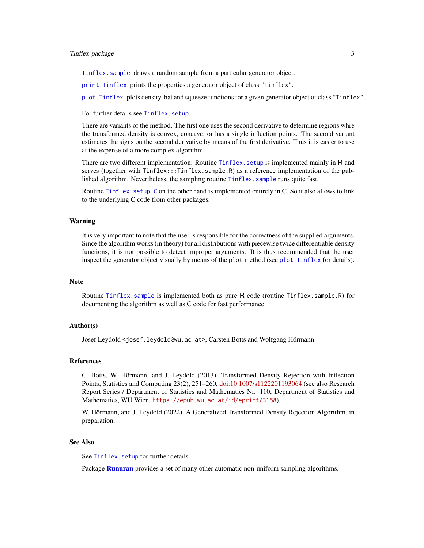#### <span id="page-2-0"></span>Tinflex-package 3

[Tinflex.sample](#page-5-1) draws a random sample from a particular generator object.

[print.Tinflex](#page-4-1) prints the properties a generator object of class "Tinflex".

[plot.Tinflex](#page-3-1) plots density, hat and squeeze functions for a given generator object of class "Tinflex".

## For further details see [Tinflex.setup](#page-6-1).

There are variants of the method. The first one uses the second derivative to determine regions whre the transformed density is convex, concave, or has a single inflection points. The second variant estimates the signs on the second derivative by means of the first derivative. Thus it is easier to use at the expense of a more complex algorithm.

There are two different implementation: Routine Tinflex. setup is implemented mainly in R and serves (together with Tinflex:::Tinflex.sample.R) as a reference implementation of the published algorithm. Nevertheless, the sampling routine Tinflex. sample runs quite fast.

Routine [Tinflex.setup.C](#page-6-2) on the other hand is implemented entirely in C. So it also allows to link to the underlying C code from other packages.

#### Warning

It is very important to note that the user is responsible for the correctness of the supplied arguments. Since the algorithm works (in theory) for all distributions with piecewise twice differentiable density functions, it is not possible to detect improper arguments. It is thus recommended that the user inspect the generator object visually by means of the plot method (see [plot.Tinflex](#page-3-1) for details).

### Note

Routine [Tinflex.sample](#page-5-1) is implemented both as pure R code (routine Tinflex.sample.R) for documenting the algorithm as well as C code for fast performance.

## Author(s)

Josef Leydold <josef.leydold@wu.ac.at>, Carsten Botts and Wolfgang Hörmann.

#### References

C. Botts, W. Hörmann, and J. Leydold (2013), Transformed Density Rejection with Inflection Points, Statistics and Computing 23(2), 251–260, [doi:10.1007/s1122201193064](https://doi.org/10.1007/s11222-011-9306-4) (see also Research Report Series / Department of Statistics and Mathematics Nr. 110, Department of Statistics and Mathematics, WU Wien, <https://epub.wu.ac.at/id/eprint/3158>).

W. Hörmann, and J. Leydold (2022), A Generalized Transformed Density Rejection Algorithm, in preparation.

#### See Also

See Tinflex. setup for further details.

Package [Runuran](#page-0-0) provides a set of many other automatic non-uniform sampling algorithms.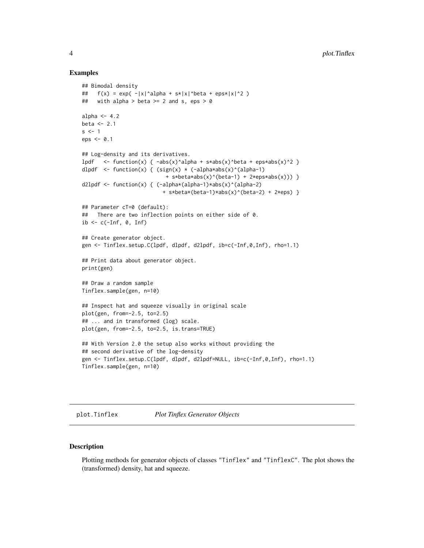#### Examples

```
## Bimodal density
## f(x) = exp(-|x|^2)alpha + s*|x|^beta + eps*|x|^2 )
## with alpha > beta >= 2 and s, eps > 0
alpha \leq -4.2beta <-2.1s < -1eps \leq -0.1## Log-density and its derivatives.
lpdf \le function(x) { -abs(x)^alpha + s*abs(x)^beta + eps*abs(x)^2 }
dlpdf \le function(x) { (sign(x) * (-alpha*abs(x)^(alpha-1)
                           + s*beta*abs(x)^(beta-1) + 2*eps*abs(x))) }
d2lpdf <- function(x) { (-alpha*(alpha-1)*abs(x)^(alpha-2)
                          + s*beta*(beta-1)*abs(x)^(beta-2) + 2*eps) }
## Parameter cT=0 (default):
## There are two inflection points on either side of 0.
ib \leq c(\text{-}Inf, 0, Inf)
## Create generator object.
gen <- Tinflex.setup.C(lpdf, dlpdf, d2lpdf, ib=c(-Inf,0,Inf), rho=1.1)
## Print data about generator object.
print(gen)
## Draw a random sample
Tinflex.sample(gen, n=10)
## Inspect hat and squeeze visually in original scale
plot(gen, from=-2.5, to=2.5)
## ... and in transformed (log) scale.
plot(gen, from=-2.5, to=2.5, is.trans=TRUE)
## With Version 2.0 the setup also works without providing the
## second derivative of the log-density
gen <- Tinflex.setup.C(lpdf, dlpdf, d2lpdf=NULL, ib=c(-Inf,0,Inf), rho=1.1)
Tinflex.sample(gen, n=10)
```
<span id="page-3-1"></span>plot.Tinflex *Plot Tinflex Generator Objects*

#### Description

Plotting methods for generator objects of classes "Tinflex" and "TinflexC". The plot shows the (transformed) density, hat and squeeze.

<span id="page-3-0"></span>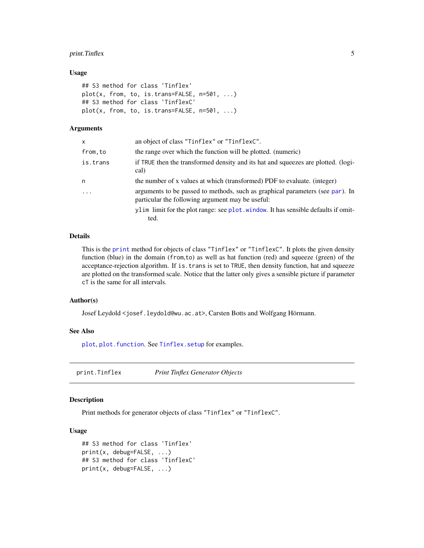# <span id="page-4-0"></span>print.Tinflex 5

#### Usage

```
## S3 method for class 'Tinflex'
plot(x, from, to, is.trans=FALSE, n=501, ...)
## S3 method for class 'TinflexC'
plot(x, from, to, is.trans=FALSE, n=501, ...)
```
# Arguments

| x        | an object of class "Tinflex" or "TinflexC".                                                                                       |
|----------|-----------------------------------------------------------------------------------------------------------------------------------|
| from.to  | the range over which the function will be plotted. (numeric)                                                                      |
| is.trans | if TRUE then the transformed density and its hat and squeezes are plotted. (logi-<br>cal)                                         |
| n        | the number of x values at which (transformed) PDF to evaluate. (integer)                                                          |
| $\cdots$ | arguments to be passed to methods, such as graphical parameters (see par). In<br>particular the following argument may be useful: |
|          | ylim limit for the plot range: see plot window. It has sensible defaults if omit-<br>ted.                                         |
|          |                                                                                                                                   |

# Details

This is the [print](#page-0-0) method for objects of class "Tinflex" or "TinflexC". It plots the given density function (blue) in the domain (from,to) as well as hat function (red) and squeeze (green) of the acceptance-rejection algorithm. If is.trans is set to TRUE, then density function, hat and squeeze are plotted on the transformed scale. Notice that the latter only gives a sensible picture if parameter cT is the same for all intervals.

# Author(s)

Josef Leydold <josef.leydold@wu.ac.at>, Carsten Botts and Wolfgang Hörmann.

#### See Also

[plot](#page-0-0), plot. function. See Tinflex. setup for examples.

<span id="page-4-1"></span>print.Tinflex *Print Tinflex Generator Objects*

#### Description

Print methods for generator objects of class "Tinflex" or "TinflexC".

#### Usage

```
## S3 method for class 'Tinflex'
print(x, debug=FALSE, ...)
## S3 method for class 'TinflexC'
print(x, debug=FALSE, ...)
```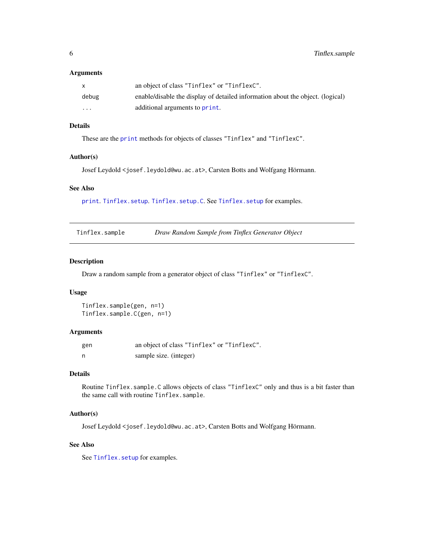#### <span id="page-5-0"></span>Arguments

|          | an object of class "Tinflex" or "Tinflex".                                     |
|----------|--------------------------------------------------------------------------------|
| debug    | enable/disable the display of detailed information about the object. (logical) |
| $\cdots$ | additional arguments to print.                                                 |

# Details

These are the [print](#page-0-0) methods for objects of classes "Tinflex" and "TinflexC".

#### Author(s)

Josef Leydold <josef.leydold@wu.ac.at>, Carsten Botts and Wolfgang Hörmann.

#### See Also

[print](#page-0-0). [Tinflex.setup](#page-6-1). [Tinflex.setup.C](#page-6-2). See [Tinflex.setup](#page-6-1) for examples.

<span id="page-5-1"></span>Tinflex.sample *Draw Random Sample from Tinflex Generator Object*

#### Description

Draw a random sample from a generator object of class "Tinflex" or "TinflexC".

## Usage

```
Tinflex.sample(gen, n=1)
Tinflex.sample.C(gen, n=1)
```
#### Arguments

| gen | an object of class "Tinflex" or "TinflexC". |
|-----|---------------------------------------------|
|     | sample size. (integer)                      |

# Details

Routine Tinflex.sample.C allows objects of class "TinflexC" only and thus is a bit faster than the same call with routine Tinflex.sample.

# Author(s)

Josef Leydold <josef.leydold@wu.ac.at>, Carsten Botts and Wolfgang Hörmann.

# See Also

See [Tinflex.setup](#page-6-1) for examples.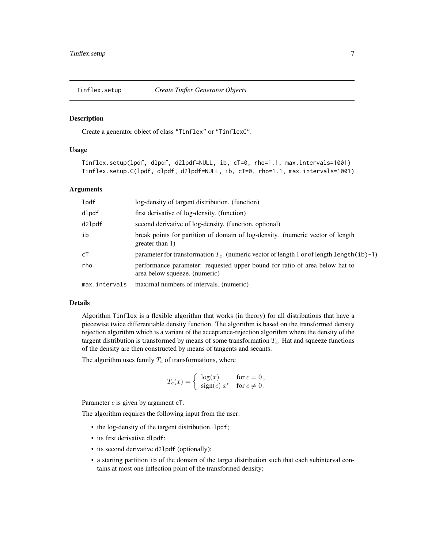<span id="page-6-1"></span><span id="page-6-0"></span>

#### <span id="page-6-2"></span>Description

Create a generator object of class "Tinflex" or "TinflexC".

#### Usage

```
Tinflex.setup(lpdf, dlpdf, d2lpdf=NULL, ib, cT=0, rho=1.1, max.intervals=1001)
Tinflex.setup.C(lpdf, dlpdf, d2lpdf=NULL, ib, cT=0, rho=1.1, max.intervals=1001)
```
#### Arguments

| lpdf          | log-density of targent distribution. (function)                                                              |
|---------------|--------------------------------------------------------------------------------------------------------------|
| dlpdf         | first derivative of log-density. (function)                                                                  |
| d21pdf        | second derivative of log-density. (function, optional)                                                       |
| ib            | break points for partition of domain of log-density. (numeric vector of length<br>greater than 1)            |
| сT            | parameter for transformation $T_c$ . (numeric vector of length 1 or of length length (ib)-1)                 |
| rho           | performance parameter: requested upper bound for ratio of area below hat to<br>area below squeeze. (numeric) |
| max.intervals | maximal numbers of intervals. (numeric)                                                                      |

#### Details

Algorithm Tinflex is a flexible algorithm that works (in theory) for all distributions that have a piecewise twice differentiable density function. The algorithm is based on the transformed density rejection algorithm which is a variant of the acceptance-rejection algorithm where the density of the targent distribution is transformed by means of some transformation  $T_c$ . Hat and squeeze functions of the density are then constructed by means of tangents and secants.

The algorithm uses family  $T_c$  of transformations, where

$$
T_c(x) = \begin{cases} \log(x) & \text{for } c = 0, \\ \text{sign}(c) \ x^c & \text{for } c \neq 0. \end{cases}
$$

Parameter  $c$  is given by argument  $cT$ .

The algorithm requires the following input from the user:

- the log-density of the targent distribution, lpdf;
- its first derivative d1pdf;
- its second derivative d2lpdf (optionally);
- a starting partition ib of the domain of the target distribution such that each subinterval contains at most one inflection point of the transformed density;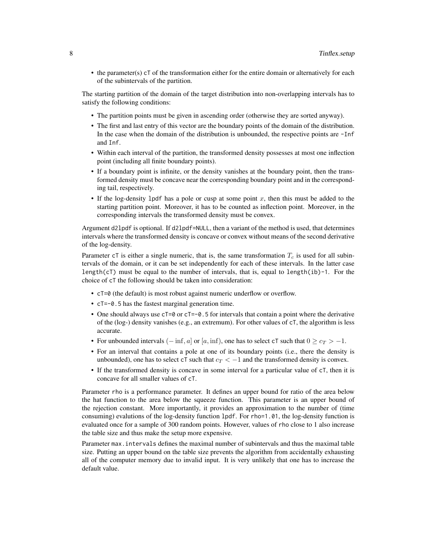• the parameter(s)  $cT$  of the transformation either for the entire domain or alternatively for each of the subintervals of the partition.

The starting partition of the domain of the target distribution into non-overlapping intervals has to satisfy the following conditions:

- The partition points must be given in ascending order (otherwise they are sorted anyway).
- The first and last entry of this vector are the boundary points of the domain of the distribution. In the case when the domain of the distribution is unbounded, the respective points are -Inf and Inf.
- Within each interval of the partition, the transformed density possesses at most one inflection point (including all finite boundary points).
- If a boundary point is infinite, or the density vanishes at the boundary point, then the transformed density must be concave near the corresponding boundary point and in the corresponding tail, respectively.
- If the log-density lpdf has a pole or cusp at some point  $x$ , then this must be added to the starting partition point. Moreover, it has to be counted as inflection point. Moreover, in the corresponding intervals the transformed density must be convex.

Argument d2lpdf is optional. If d2lpdf=NULL, then a variant of the method is used, that determines intervals where the transformed density is concave or convex without means of the second derivative of the log-density.

Parameter  $c\tau$  is either a single numeric, that is, the same transformation  $T_c$  is used for all subintervals of the domain, or it can be set independently for each of these intervals. In the latter case length( $cT$ ) must be equal to the number of intervals, that is, equal to length( $ib$ )-1. For the choice of cT the following should be taken into consideration:

- cT=0 (the default) is most robust against numeric underflow or overflow.
- cT=-0.5 has the fastest marginal generation time.
- One should always use  $cT=0$  or  $cT=-0.5$  for intervals that contain a point where the derivative of the (log-) density vanishes (e.g., an extremum). For other values of cT, the algorithm is less accurate.
- For unbounded intervals  $(-\inf, a]$  or  $[a, \inf)$ , one has to select cT such that  $0 \geq c_T > -1$ .
- For an interval that contains a pole at one of its boundary points (i.e., there the density is unbounded), one has to select cT such that  $c_T < -1$  and the transformed density is convex.
- If the transformed density is concave in some interval for a particular value of cT, then it is concave for all smaller values of cT.

Parameter rho is a performance parameter. It defines an upper bound for ratio of the area below the hat function to the area below the squeeze function. This parameter is an upper bound of the rejection constant. More importantly, it provides an approximation to the number of (time consuming) evalutions of the log-density function lpdf. For rho=1.01, the log-density function is evaluated once for a sample of 300 random points. However, values of rho close to 1 also increase the table size and thus make the setup more expensive.

Parameter max.intervals defines the maximal number of subintervals and thus the maximal table size. Putting an upper bound on the table size prevents the algorithm from accidentally exhausting all of the computer memory due to invalid input. It is very unlikely that one has to increase the default value.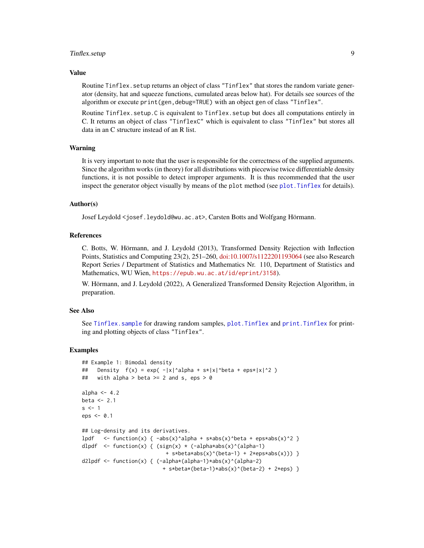# <span id="page-8-0"></span>Tinflex.setup 9

#### Value

Routine Tinflex, setup returns an object of class "Tinflex" that stores the random variate generator (density, hat and squeeze functions, cumulated areas below hat). For details see sources of the algorithm or execute print(gen,debug=TRUE) with an object gen of class "Tinflex".

Routine Tinflex.setup.C is equivalent to Tinflex.setup but does all computations entirely in C. It returns an object of class "TinflexC" which is equivalent to class "Tinflex" but stores all data in an C structure instead of an R list.

#### Warning

It is very important to note that the user is responsible for the correctness of the supplied arguments. Since the algorithm works (in theory) for all distributions with piecewise twice differentiable density functions, it is not possible to detect improper arguments. It is thus recommended that the user inspect the generator object visually by means of the plot method (see [plot.Tinflex](#page-3-1) for details).

#### Author(s)

Josef Leydold <josef.leydold@wu.ac.at>, Carsten Botts and Wolfgang Hörmann.

#### References

C. Botts, W. Hörmann, and J. Leydold (2013), Transformed Density Rejection with Inflection Points, Statistics and Computing 23(2), 251–260, [doi:10.1007/s1122201193064](https://doi.org/10.1007/s11222-011-9306-4) (see also Research Report Series / Department of Statistics and Mathematics Nr. 110, Department of Statistics and Mathematics, WU Wien, <https://epub.wu.ac.at/id/eprint/3158>).

W. Hörmann, and J. Leydold (2022), A Generalized Transformed Density Rejection Algorithm, in preparation.

#### See Also

See [Tinflex.sample](#page-5-1) for drawing random samples, [plot.Tinflex](#page-3-1) and [print.Tinflex](#page-4-1) for printing and plotting objects of class "Tinflex".

#### Examples

```
## Example 1: Bimodal density
## Density f(x) = exp(-|x|^{\alpha}a]pha + s*|x|^beta + eps*|x|^2 )
## with alpha > beta > = 2 and s, eps > 0
alpha <-4.2beta <-2.1s \leq 1eps < -0.1## Log-density and its derivatives.
lpdf \le function(x) { -abs(x)^{\land}alpha + s*abs(x)^{\land}beta + eps*abs(x)^{\land}2 }
dlpdf \leq function(x) { (sign(x) * (-alpha*abs(x)^(alpha-1)
                            + s*beta*abs(x)^(beta-1) + 2*eps*abs(x))) }
d2lpdf <- function(x) { (-alpha*(alpha-1)*abs(x)^(alpha-2)
                           + s*beta*(beta-1)*abs(x)^(beta-2) + 2*eps) }
```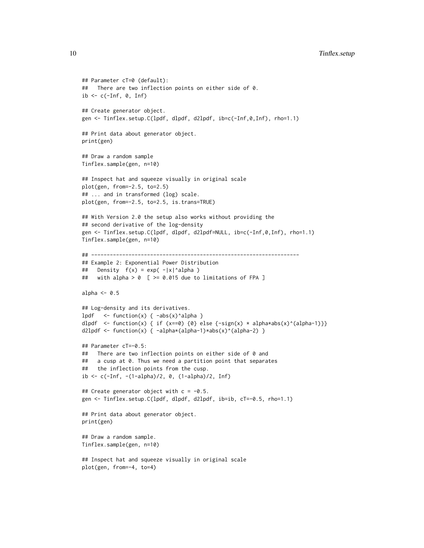```
## Parameter cT=0 (default):
## There are two inflection points on either side of 0.
ib \leq c(\text{-}Inf, 0, Inf)
## Create generator object.
gen <- Tinflex.setup.C(lpdf, dlpdf, d2lpdf, ib=c(-Inf,0,Inf), rho=1.1)
## Print data about generator object.
print(gen)
## Draw a random sample
Tinflex.sample(gen, n=10)
## Inspect hat and squeeze visually in original scale
plot(gen, from=-2.5, to=2.5)
## ... and in transformed (log) scale.
plot(gen, from=-2.5, to=2.5, is.trans=TRUE)
## With Version 2.0 the setup also works without providing the
## second derivative of the log-density
gen <- Tinflex.setup.C(lpdf, dlpdf, d2lpdf=NULL, ib=c(-Inf,0,Inf), rho=1.1)
Tinflex.sample(gen, n=10)
## -------------------------------------------------------------------
## Example 2: Exponential Power Distribution
## Density f(x) = exp(-|x|^2)alpha )
## with alpha > 0 [ >= 0.015 due to limitations of FPA ]
alpha <-0.5## Log-density and its derivatives.
lpdf \le function(x) { -abs(x)^alpha }
dlpdf <- function(x) { if (x==0) {0} else {-sign(x) * alpha*abs(x)^(alpha-1)}}
d2lpdf <- function(x) { -alpha*(alpha-1)*abs(x)^(alpha-2) }
## Parameter cT=-0.5:
## There are two inflection points on either side of 0 and
## a cusp at 0. Thus we need a partition point that separates
## the inflection points from the cusp.
ib <- c(-Inf, -(1-alpha)/2, 0, (1-alpha)/2, Inf)
## Create generator object with c = -0.5.
gen <- Tinflex.setup.C(lpdf, dlpdf, d2lpdf, ib=ib, cT=-0.5, rho=1.1)
## Print data about generator object.
print(gen)
## Draw a random sample.
Tinflex.sample(gen, n=10)
## Inspect hat and squeeze visually in original scale
plot(gen, from=-4, to=4)
```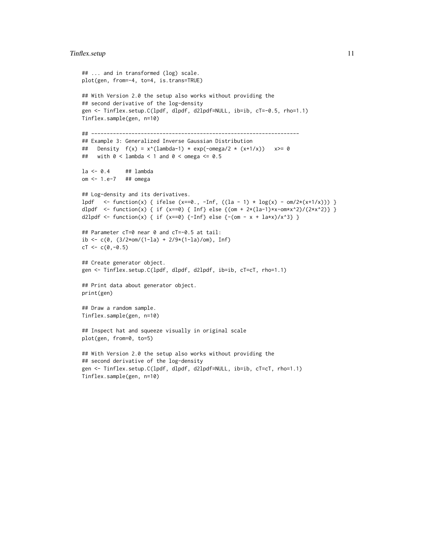#### Tinflex.setup 11

```
## ... and in transformed (log) scale.
plot(gen, from=-4, to=4, is.trans=TRUE)
## With Version 2.0 the setup also works without providing the
## second derivative of the log-density
gen <- Tinflex.setup.C(lpdf, dlpdf, d2lpdf=NULL, ib=ib, cT=-0.5, rho=1.1)
Tinflex.sample(gen, n=10)
## -------------------------------------------------------------------
## Example 3: Generalized Inverse Gaussian Distribution
## Density f(x) = x^{\wedge}(lambda-1) * exp(-omega/2 * (x+1/x)) x \ge 0## with 0 < lambda < 1 and 0 < omega <= 0.5
la <- 0.4 ## lambda
om <- 1.e-7 ## omega
## Log-density and its derivatives.
lpdf \le function(x) { ifelse (x==0., -Inf, ((la - 1) * log(x) - om/2*(x+1/x))) }
dlpdf <- function(x) { if (x==0) { Inf} else {(om + 2*(la-1)*x-om*x^2)/(2*x^2)} }
d2lpdf <- function(x) { if (x==0) {-Inf} else {-(om - x + la*x)/x^3} }
## Parameter cT=0 near 0 and cT=-0.5 at tail:
ib <- c(0, (3/2*om/(1-la) + 2/9*(1-la)/om), Inf)
cT < -c(0, -0.5)## Create generator object.
gen <- Tinflex.setup.C(lpdf, dlpdf, d2lpdf, ib=ib, cT=cT, rho=1.1)
## Print data about generator object.
print(gen)
## Draw a random sample.
Tinflex.sample(gen, n=10)
## Inspect hat and squeeze visually in original scale
plot(gen, from=0, to=5)
## With Version 2.0 the setup also works without providing the
## second derivative of the log-density
gen <- Tinflex.setup.C(lpdf, dlpdf, d2lpdf=NULL, ib=ib, cT=cT, rho=1.1)
Tinflex.sample(gen, n=10)
```